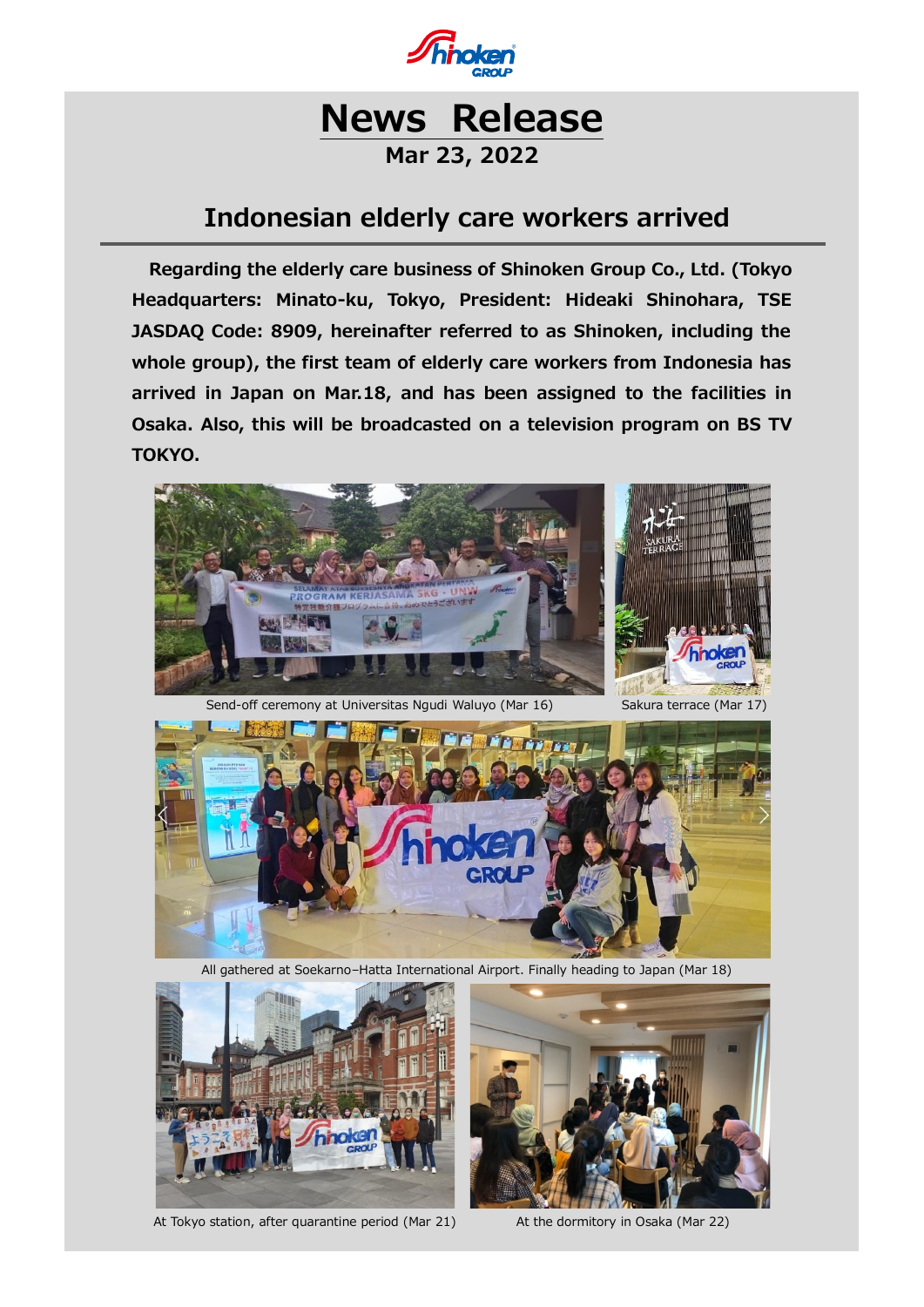

## **Mar 23, 2022**

## **Indonesian elderly care workers arrived**

**Regarding the elderly care business of Shinoken Group Co., Ltd. (Tokyo Headquarters: Minato-ku, Tokyo, President: Hideaki Shinohara, TSE JASDAQ Code: 8909, hereinafter referred to as Shinoken, including the whole group), the first team of elderly care workers from Indonesia has arrived in Japan on Mar.18, and has been assigned to the facilities in Osaka. Also, this will be broadcasted on a television program on BS TV TOKYO.**



Send-off ceremony at Universitas Ngudi Waluyo (Mar 16) Sakura terrace (Mar 17)



All gathered at Soekarno–Hatta International Airport. Finally heading to Japan (Mar 18)



At Tokyo station, after quarantine period (Mar 21) At the dormitory in Osaka (Mar 22)

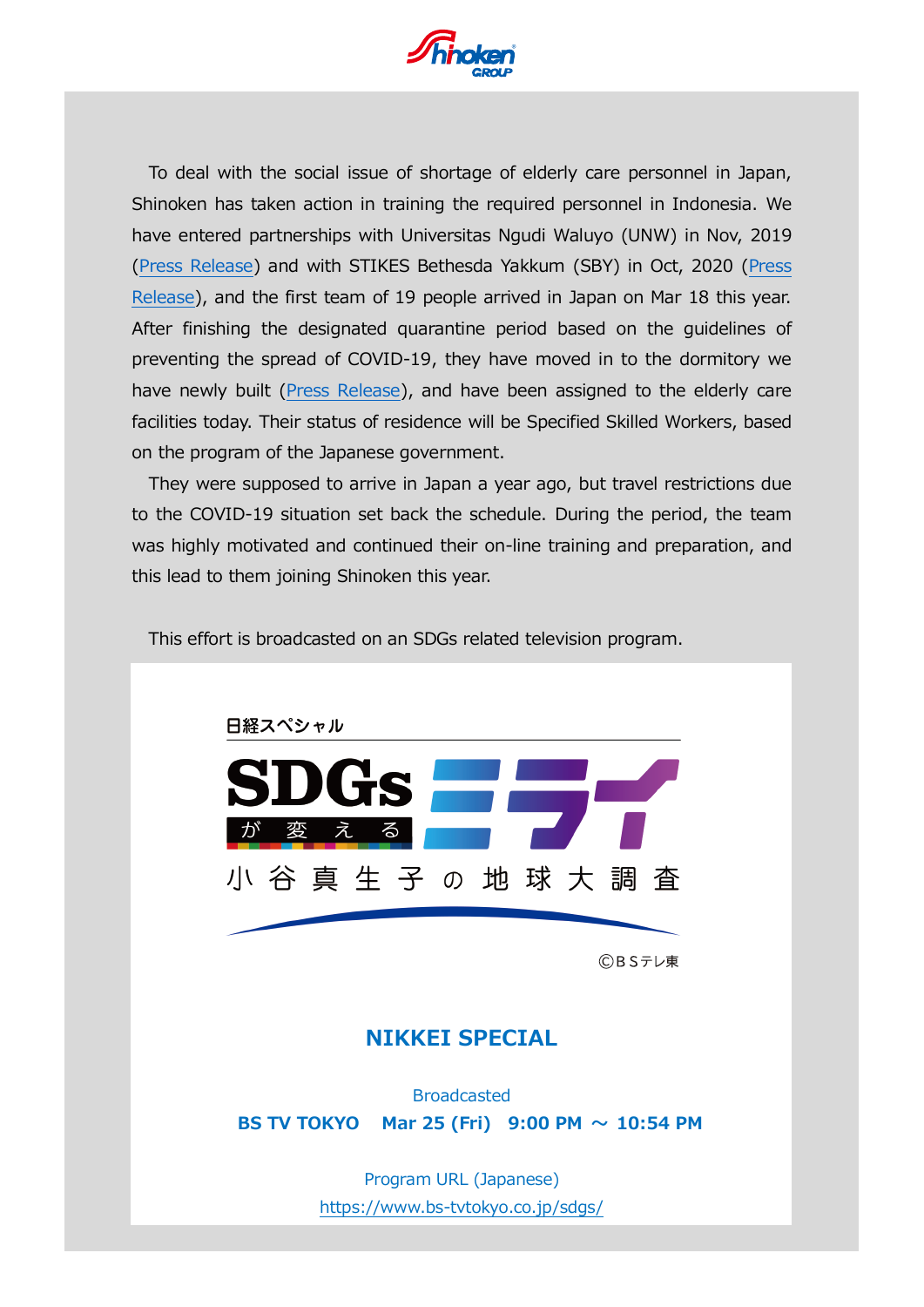

To deal with the social issue of shortage of elderly care personnel in Japan, Shinoken has taken action in training the required personnel in Indonesia. We have entered partnerships with Universitas Ngudi Waluyo (UNW) in Nov, 2019 [\(Press Release\)](https://www.shinoken.co.jp/press_ens/get_img/155/file1_path/20191112_155.pdf) and with STIKES Bethesda Yakkum (SBY) in Oct, 2020 [\(Press](https://www.shinoken.co.jp/press_ens/get_img/177/file1_path/20201013_177.pdf) [Release\)](https://www.shinoken.co.jp/press_ens/get_img/177/file1_path/20201013_177.pdf), and the first team of 19 people arrived in Japan on Mar 18 this year. After finishing the designated quarantine period based on the guidelines of preventing the spread of COVID-19, they have moved in to the dormitory we have newly built [\(Press Release\)](https://www.shinoken.co.jp/press_ens/get_img/188/file1_path/20210526_188.pdf), and have been assigned to the elderly care facilities today. Their status of residence will be Specified Skilled Workers, based on the program of the Japanese government.

They were supposed to arrive in Japan a year ago, but travel restrictions due to the COVID-19 situation set back the schedule. During the period, the team was highly motivated and continued their on-line training and preparation, and this lead to them joining Shinoken this year.



This effort is broadcasted on an SDGs related television program.